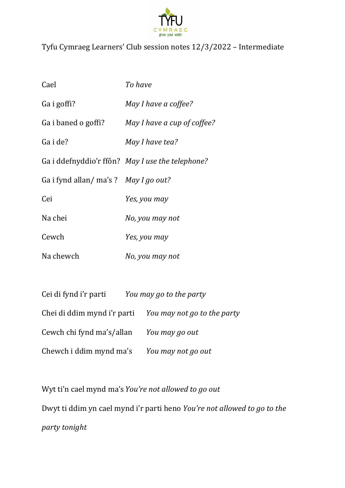

## Tyfu Cymraeg Learners' Club session notes 12/3/2022 – Intermediate

| Cael                                | To have                                          |
|-------------------------------------|--------------------------------------------------|
| Ga i goffi?                         | May I have a coffee?                             |
| Ga i baned o goffi?                 | May I have a cup of coffee?                      |
| Ga i de?                            | May I have tea?                                  |
|                                     | Ga i ddefnyddio'r ffôn? May I use the telephone? |
| Ga i fynd allan/ma's? May I go out? |                                                  |
| Cei                                 | Yes, you may                                     |
| Na chei                             | No, you may not                                  |
| Cewch                               | Yes, you may                                     |
| Na chewch                           | No, you may not                                  |

| Cei di fynd i'r parti                                   | You may go to the party |
|---------------------------------------------------------|-------------------------|
| Chei di ddim mynd i'r parti You may not go to the party |                         |
| Cewch chi fynd ma's/allan                               | You may go out          |
| Chewch i ddim mynd ma's                                 | You may not go out      |

Wyt ti'n cael mynd ma's*You're not allowed to go out* Dwyt ti ddim yn cael mynd i'r parti heno *You're not allowed to go to the party tonight*